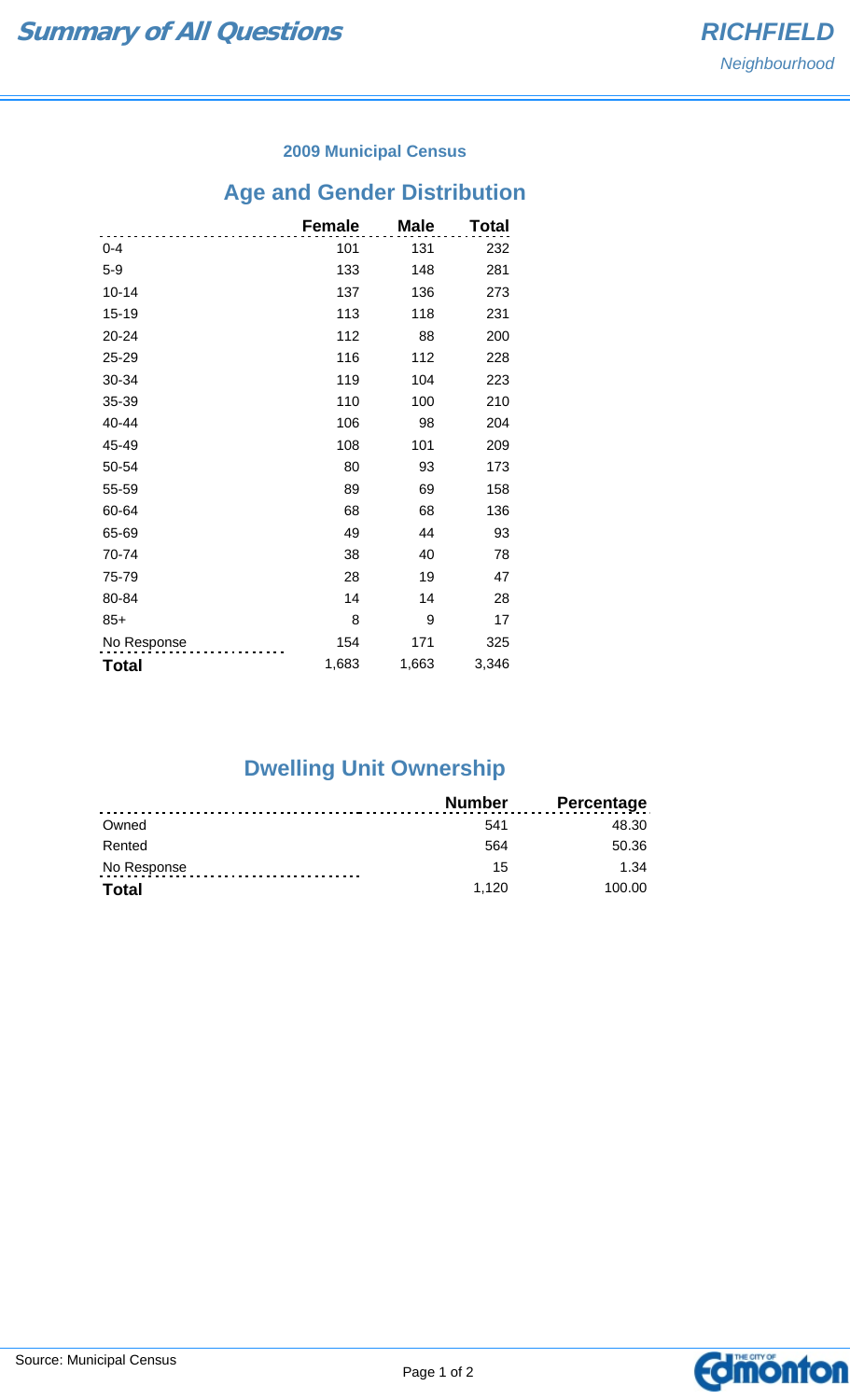#### **2009 Municipal Census**

# **Age and Gender Distribution**

|              | <b>Female</b> | <b>Male</b> | <b>Total</b> |
|--------------|---------------|-------------|--------------|
| $0 - 4$      | 101           | 131         | 232          |
| $5 - 9$      | 133           | 148         | 281          |
| $10 - 14$    | 137           | 136         | 273          |
| $15 - 19$    | 113           | 118         | 231          |
| 20-24        | 112           | 88          | 200          |
| 25-29        | 116           | 112         | 228          |
| 30-34        | 119           | 104         | 223          |
| 35-39        | 110           | 100         | 210          |
| 40-44        | 106           | 98          | 204          |
| 45-49        | 108           | 101         | 209          |
| 50-54        | 80            | 93          | 173          |
| 55-59        | 89            | 69          | 158          |
| 60-64        | 68            | 68          | 136          |
| 65-69        | 49            | 44          | 93           |
| 70-74        | 38            | 40          | 78           |
| 75-79        | 28            | 19          | 47           |
| 80-84        | 14            | 14          | 28           |
| $85+$        | 8             | 9           | 17           |
| No Response  | 154           | 171         | 325          |
| <b>Total</b> | 1,683         | 1,663       | 3,346        |

## **Dwelling Unit Ownership**

|             | <b>Number</b> | <b>Percentage</b> |
|-------------|---------------|-------------------|
| Owned       | 541           | 48.30             |
| Rented      | 564           | 50.36             |
| No Response | 15            | 1.34              |
| Total       | 1.120         | 100.00            |